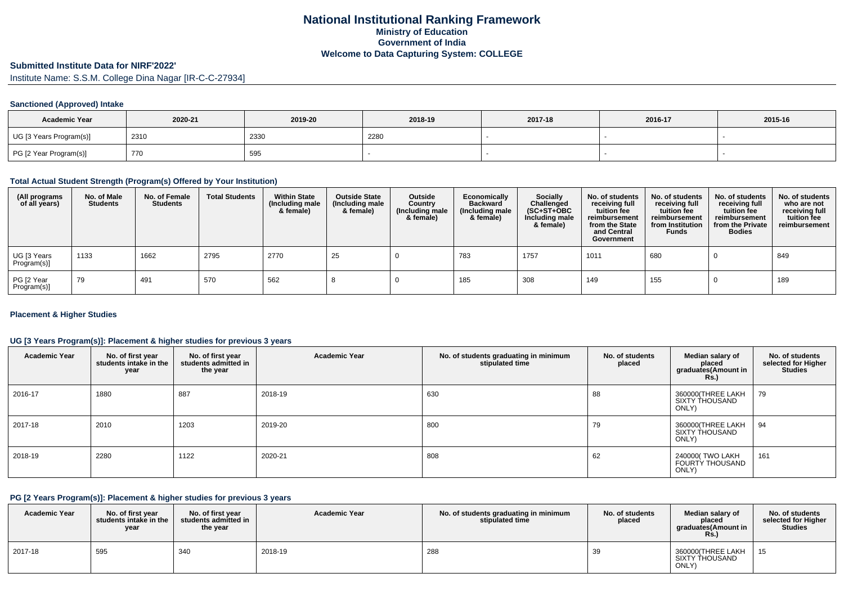# **Submitted Institute Data for NIRF'2022'**

Institute Name: S.S.M. College Dina Nagar [IR-C-C-27934]

# **Sanctioned (Approved) Intake**

| <b>Academic Year</b>    | 2020-21 | 2019-20 | 2018-19 | 2017-18 | 2016-17 | 2015-16 |
|-------------------------|---------|---------|---------|---------|---------|---------|
| UG [3 Years Program(s)] | 2310    | 2330    | 2280    |         |         |         |
| PG [2 Year Program(s)]  | 770     | 595     |         |         |         |         |

#### **Total Actual Student Strength (Program(s) Offered by Your Institution)**

| (All programs<br>of all years) | No. of Male<br><b>Students</b> | No. of Female<br><b>Students</b> | <b>Total Students</b> | <b>Within State</b><br>(Including male<br>& female) | <b>Outside State</b><br>(Including male<br>& female) | Outside<br>Country<br>(Including male<br>& female) | Economically<br>Backward<br>(Including male<br>& female) | Socially<br>Challenged<br>$(SC+ST+OBC)$<br>Including male<br>& female) | No. of students<br>receiving full<br>tuition fee<br>reimbursement<br>from the State<br>and Central<br>Government | No. of students<br>receiving full<br>tuition fee<br>reimbursement<br>from Institution<br><b>Funds</b> | No. of students<br>receiving full<br>tuition fee<br>reimbursement<br>from the Private<br><b>Bodies</b> | No. of students<br>who are not<br>receiving full<br>tuition fee<br>reimbursement |
|--------------------------------|--------------------------------|----------------------------------|-----------------------|-----------------------------------------------------|------------------------------------------------------|----------------------------------------------------|----------------------------------------------------------|------------------------------------------------------------------------|------------------------------------------------------------------------------------------------------------------|-------------------------------------------------------------------------------------------------------|--------------------------------------------------------------------------------------------------------|----------------------------------------------------------------------------------|
| UG [3 Years<br>Program(s)]     | 1133                           | 1662                             | 2795                  | 2770                                                | 25                                                   |                                                    | 783                                                      | 1757                                                                   | 1011                                                                                                             | 680                                                                                                   |                                                                                                        | 849                                                                              |
| PG [2 Year<br>Program(s)]      | 79                             | 491                              | 570                   | 562                                                 |                                                      |                                                    | 185                                                      | 308                                                                    | 149                                                                                                              | 155                                                                                                   |                                                                                                        | 189                                                                              |

# **Placement & Higher Studies**

# **UG [3 Years Program(s)]: Placement & higher studies for previous 3 years**

| <b>Academic Year</b> | No. of first year<br>students intake in the<br>year | No. of first year<br>students admitted in<br>the year | <b>Academic Year</b> | No. of students graduating in minimum<br>stipulated time | No. of students<br>placed | Median salary of<br>placed<br>graduates(Amount in<br><b>Rs.)</b> | No. of students<br>selected for Higher<br><b>Studies</b> |
|----------------------|-----------------------------------------------------|-------------------------------------------------------|----------------------|----------------------------------------------------------|---------------------------|------------------------------------------------------------------|----------------------------------------------------------|
| 2016-17              | 1880                                                | 887                                                   | 2018-19              | 630                                                      | 88                        | 360000(THREE LAKH<br>SIXTY THOUSAND<br>ONLY)                     | 79                                                       |
| 2017-18              | 2010                                                | 1203                                                  | 2019-20              | 800                                                      | 79                        | 360000(THREE LAKH<br>SIXTY THOUSAND<br>ONLY)                     | 94                                                       |
| 2018-19              | 2280                                                | 1122                                                  | 2020-21              | 808                                                      | 62                        | 240000(TWO LAKH<br><b>FOURTY THOUSAND</b><br>ONLY)               | 161                                                      |

#### **PG [2 Years Program(s)]: Placement & higher studies for previous 3 years**

| <b>Academic Year</b> | No. of first vear<br>students intake in the<br>year | No. of first year<br>students admitted in<br>the year | <b>Academic Year</b> | No. of students graduating in minimum<br>stipulated time | No. of students<br>placed | Median salary of<br>placed<br>araduates(Amount in<br><b>Rs.)</b> | No. of students<br>selected for Higher<br><b>Studies</b> |
|----------------------|-----------------------------------------------------|-------------------------------------------------------|----------------------|----------------------------------------------------------|---------------------------|------------------------------------------------------------------|----------------------------------------------------------|
| 2017-18              | 595                                                 | 340                                                   | 2018-19              | 288                                                      | 39                        | 360000(THREE LAKH<br>SIXTY THOUSAND<br>ONLY)                     | - 15                                                     |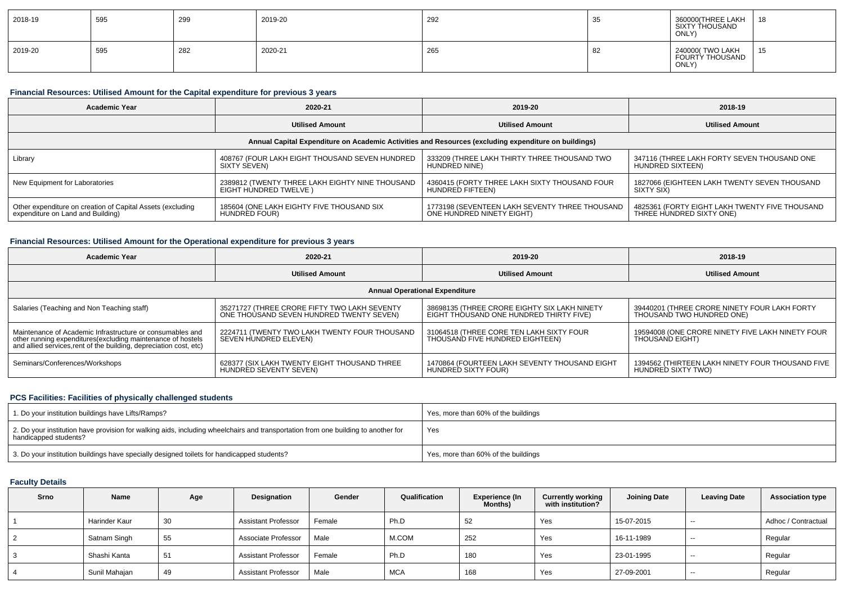| 2018-19 | 595 | 299 | 2019-20 | 292 |    | 360000(THREE LAKH<br>SIXTY THOUSAND<br>ONLY) | 18       |
|---------|-----|-----|---------|-----|----|----------------------------------------------|----------|
| 2019-20 | 595 | 282 | 2020-21 | 265 | ⊙∠ | 240000(TWO LAKH<br>FOURTY THOUSAND<br>ONLY)  | 15<br>ັບ |

# **Financial Resources: Utilised Amount for the Capital expenditure for previous 3 years**

| <b>Academic Year</b>                                                                                 | 2020-21                                         | 2019-20                                        | 2018-19                                        |  |  |  |  |  |  |  |
|------------------------------------------------------------------------------------------------------|-------------------------------------------------|------------------------------------------------|------------------------------------------------|--|--|--|--|--|--|--|
|                                                                                                      | <b>Utilised Amount</b>                          | <b>Utilised Amount</b>                         | <b>Utilised Amount</b>                         |  |  |  |  |  |  |  |
| Annual Capital Expenditure on Academic Activities and Resources (excluding expenditure on buildings) |                                                 |                                                |                                                |  |  |  |  |  |  |  |
| Library                                                                                              | 408767 (FOUR LAKH EIGHT THOUSAND SEVEN HUNDRED  | 333209 (THREE LAKH THIRTY THREE THOUSAND TWO   | 347116 (THREE LAKH FORTY SEVEN THOUSAND ONE    |  |  |  |  |  |  |  |
|                                                                                                      | SIXTY SEVEN)                                    | HUNDRED NINE)                                  | HUNDRED SIXTEEN)                               |  |  |  |  |  |  |  |
| New Equipment for Laboratories                                                                       | 2389812 (TWENTY THREE LAKH EIGHTY NINE THOUSAND | 4360415 (FORTY THREE LAKH SIXTY THOUSAND FOUR  | 1827066 (EIGHTEEN LAKH TWENTY SEVEN THOUSAND   |  |  |  |  |  |  |  |
|                                                                                                      | EIGHT HUNDRED TWELVE )                          | HUNDRED FIFTEEN)                               | SIXTY SIX)                                     |  |  |  |  |  |  |  |
| Other expenditure on creation of Capital Assets (excluding                                           | 185604 (ONE LAKH EIGHTY FIVE THOUSAND SIX       | 1773198 (SEVENTEEN LAKH SEVENTY THREE THOUSAND | 4825361 (FORTY EIGHT LAKH TWENTY FIVE THOUSAND |  |  |  |  |  |  |  |
| expenditure on Land and Building)                                                                    | HUNDRED FOUR)                                   | ONE HUNDRED NINETY EIGHT)                      | THREE HUNDRED SIXTY ONE)                       |  |  |  |  |  |  |  |

# **Financial Resources: Utilised Amount for the Operational expenditure for previous 3 years**

| Academic Year                                                                                                                     | 2020-21                                       | 2019-20                                       | 2018-19                                          |  |  |  |  |  |  |
|-----------------------------------------------------------------------------------------------------------------------------------|-----------------------------------------------|-----------------------------------------------|--------------------------------------------------|--|--|--|--|--|--|
|                                                                                                                                   | <b>Utilised Amount</b>                        | <b>Utilised Amount</b>                        | <b>Utilised Amount</b>                           |  |  |  |  |  |  |
| <b>Annual Operational Expenditure</b>                                                                                             |                                               |                                               |                                                  |  |  |  |  |  |  |
| Salaries (Teaching and Non Teaching staff)                                                                                        | 35271727 (THREE CRORE FIFTY TWO LAKH SEVENTY  | 38698135 (THREE CRORE EIGHTY SIX LAKH NINETY  | 39440201 (THREE CRORE NINETY FOUR LAKH FORTY     |  |  |  |  |  |  |
|                                                                                                                                   | ONE THOUSAND SEVEN HUNDRED TWENTY SEVEN)      | EIGHT THOUSAND ONE HUNDRED THIRTY FIVE)       | THOUSAND TWO HUNDRED ONE)                        |  |  |  |  |  |  |
| Maintenance of Academic Infrastructure or consumables and                                                                         | 2224711 (TWENTY TWO LAKH TWENTY FOUR THOUSAND | 31064518 (THREE CORE TEN LAKH SIXTY FOUR      | 19594008 (ONE CRORE NINETY FIVE LAKH NINETY FOUR |  |  |  |  |  |  |
| other running expenditures(excluding maintenance of hostels<br>and allied services, rent of the building, depreciation cost, etc) | SEVEN HUNDRED ELEVEN)                         | THOUSAND FIVE HUNDRED EIGHTEEN)               | <b>THOUSAND EIGHT)</b>                           |  |  |  |  |  |  |
| Seminars/Conferences/Workshops                                                                                                    | 628377 (SIX LAKH TWENTY EIGHT THOUSAND THREE  | 1470864 (FOURTEEN LAKH SEVENTY THOUSAND EIGHT | 1394562 (THIRTEEN LAKH NINETY FOUR THOUSAND FIVE |  |  |  |  |  |  |
|                                                                                                                                   | HUNDRED SEVENTY SEVEN)                        | HUNDRED SIXTY FOUR)                           | HUNDRED SIXTY TWO)                               |  |  |  |  |  |  |

#### **PCS Facilities: Facilities of physically challenged students**

| 1. Do your institution buildings have Lifts/Ramps?                                                                                                         | Yes, more than 60% of the buildings |
|------------------------------------------------------------------------------------------------------------------------------------------------------------|-------------------------------------|
| 2. Do your institution have provision for walking aids, including wheelchairs and transportation from one building to another for<br>handicapped students? | Yes                                 |
| 3. Do your institution buildings have specially designed toilets for handicapped students?                                                                 | Yes, more than 60% of the buildings |

# **Faculty Details**

| Srno | Name          | Age | Designation                | Gender | Qualification | <b>Experience (In</b><br>Months) | <b>Currently working</b><br>with institution? | <b>Joining Date</b> | <b>Leaving Date</b> | <b>Association type</b> |
|------|---------------|-----|----------------------------|--------|---------------|----------------------------------|-----------------------------------------------|---------------------|---------------------|-------------------------|
|      | Harinder Kaur | 30  | <b>Assistant Professor</b> | Female | Ph.D          | 52                               | Yes                                           | 15-07-2015          | $-$                 | Adhoc / Contractual     |
|      | Satnam Singh  | 55  | Associate Professor        | Male   | M.COM         | 252                              | Yes                                           | 16-11-1989          | --                  | Regular                 |
|      | Shashi Kanta  | 51  | <b>Assistant Professor</b> | Female | Ph.D          | 180                              | Yes                                           | 23-01-1995          | --                  | Regular                 |
|      | Sunil Mahajan | 49  | <b>Assistant Professor</b> | Male   | <b>MCA</b>    | 168                              | Yes                                           | 27-09-2001          | $-$                 | Regular                 |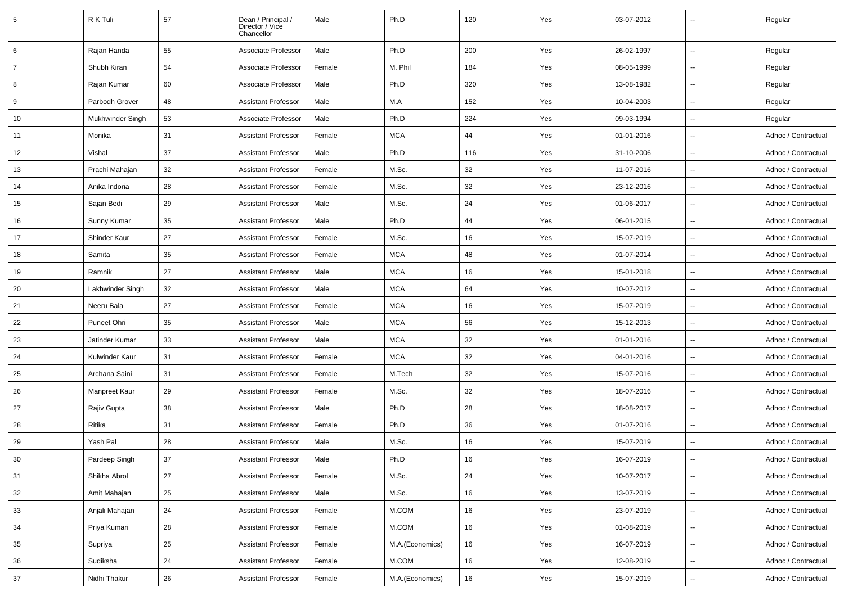| 5              | R K Tuli         | 57 | Dean / Principal /<br>Director / Vice<br>Chancellor | Male   | Ph.D            | 120 | Yes | 03-07-2012 |                          | Regular             |
|----------------|------------------|----|-----------------------------------------------------|--------|-----------------|-----|-----|------------|--------------------------|---------------------|
| 6              | Rajan Handa      | 55 | Associate Professor                                 | Male   | Ph.D            | 200 | Yes | 26-02-1997 |                          | Regular             |
| $\overline{7}$ | Shubh Kiran      | 54 | Associate Professor                                 | Female | M. Phil         | 184 | Yes | 08-05-1999 |                          | Regular             |
| 8              | Rajan Kumar      | 60 | Associate Professor                                 | Male   | Ph.D            | 320 | Yes | 13-08-1982 | $\overline{\phantom{a}}$ | Regular             |
| 9              | Parbodh Grover   | 48 | <b>Assistant Professor</b>                          | Male   | M.A             | 152 | Yes | 10-04-2003 |                          | Regular             |
| 10             | Mukhwinder Singh | 53 | Associate Professor                                 | Male   | Ph.D            | 224 | Yes | 09-03-1994 |                          | Regular             |
| 11             | Monika           | 31 | <b>Assistant Professor</b>                          | Female | <b>MCA</b>      | 44  | Yes | 01-01-2016 |                          | Adhoc / Contractual |
| 12             | Vishal           | 37 | <b>Assistant Professor</b>                          | Male   | Ph.D            | 116 | Yes | 31-10-2006 |                          | Adhoc / Contractual |
| 13             | Prachi Mahajan   | 32 | <b>Assistant Professor</b>                          | Female | M.Sc.           | 32  | Yes | 11-07-2016 | $\overline{\phantom{a}}$ | Adhoc / Contractual |
| 14             | Anika Indoria    | 28 | <b>Assistant Professor</b>                          | Female | M.Sc.           | 32  | Yes | 23-12-2016 |                          | Adhoc / Contractual |
| 15             | Sajan Bedi       | 29 | <b>Assistant Professor</b>                          | Male   | M.Sc.           | 24  | Yes | 01-06-2017 | $\ddot{\phantom{a}}$     | Adhoc / Contractual |
| 16             | Sunny Kumar      | 35 | <b>Assistant Professor</b>                          | Male   | Ph.D            | 44  | Yes | 06-01-2015 |                          | Adhoc / Contractual |
| 17             | Shinder Kaur     | 27 | <b>Assistant Professor</b>                          | Female | M.Sc.           | 16  | Yes | 15-07-2019 |                          | Adhoc / Contractual |
| 18             | Samita           | 35 | <b>Assistant Professor</b>                          | Female | <b>MCA</b>      | 48  | Yes | 01-07-2014 | $\ddot{\phantom{a}}$     | Adhoc / Contractual |
| 19             | Ramnik           | 27 | <b>Assistant Professor</b>                          | Male   | <b>MCA</b>      | 16  | Yes | 15-01-2018 | $\overline{\phantom{a}}$ | Adhoc / Contractual |
| 20             | Lakhwinder Singh | 32 | <b>Assistant Professor</b>                          | Male   | <b>MCA</b>      | 64  | Yes | 10-07-2012 |                          | Adhoc / Contractual |
| 21             | Neeru Bala       | 27 | <b>Assistant Professor</b>                          | Female | <b>MCA</b>      | 16  | Yes | 15-07-2019 |                          | Adhoc / Contractual |
| 22             | Puneet Ohri      | 35 | <b>Assistant Professor</b>                          | Male   | <b>MCA</b>      | 56  | Yes | 15-12-2013 |                          | Adhoc / Contractual |
| 23             | Jatinder Kumar   | 33 | <b>Assistant Professor</b>                          | Male   | <b>MCA</b>      | 32  | Yes | 01-01-2016 |                          | Adhoc / Contractual |
| 24             | Kulwinder Kaur   | 31 | <b>Assistant Professor</b>                          | Female | <b>MCA</b>      | 32  | Yes | 04-01-2016 | $\sim$                   | Adhoc / Contractual |
| 25             | Archana Saini    | 31 | <b>Assistant Professor</b>                          | Female | M.Tech          | 32  | Yes | 15-07-2016 |                          | Adhoc / Contractual |
| 26             | Manpreet Kaur    | 29 | <b>Assistant Professor</b>                          | Female | M.Sc.           | 32  | Yes | 18-07-2016 |                          | Adhoc / Contractual |
| 27             | Rajiv Gupta      | 38 | <b>Assistant Professor</b>                          | Male   | Ph.D            | 28  | Yes | 18-08-2017 |                          | Adhoc / Contractual |
| 28             | Ritika           | 31 | <b>Assistant Professor</b>                          | Female | Ph.D            | 36  | Yes | 01-07-2016 |                          | Adhoc / Contractual |
| 29             | Yash Pal         | 28 | <b>Assistant Professor</b>                          | Male   | M.Sc.           | 16  | Yes | 15-07-2019 |                          | Adhoc / Contractual |
| 30             | Pardeep Singh    | 37 | Assistant Professor                                 | Male   | Ph.D            | 16  | Yes | 16-07-2019 |                          | Adhoc / Contractual |
| 31             | Shikha Abrol     | 27 | <b>Assistant Professor</b>                          | Female | M.Sc.           | 24  | Yes | 10-07-2017 | $\overline{\phantom{a}}$ | Adhoc / Contractual |
| 32             | Amit Mahajan     | 25 | <b>Assistant Professor</b>                          | Male   | M.Sc.           | 16  | Yes | 13-07-2019 | $\overline{\phantom{a}}$ | Adhoc / Contractual |
| 33             | Anjali Mahajan   | 24 | <b>Assistant Professor</b>                          | Female | M.COM           | 16  | Yes | 23-07-2019 | $\ddotsc$                | Adhoc / Contractual |
| 34             | Priya Kumari     | 28 | <b>Assistant Professor</b>                          | Female | M.COM           | 16  | Yes | 01-08-2019 |                          | Adhoc / Contractual |
| 35             | Supriya          | 25 | <b>Assistant Professor</b>                          | Female | M.A.(Economics) | 16  | Yes | 16-07-2019 |                          | Adhoc / Contractual |
| 36             | Sudiksha         | 24 | Assistant Professor                                 | Female | M.COM           | 16  | Yes | 12-08-2019 |                          | Adhoc / Contractual |
| 37             | Nidhi Thakur     | 26 | <b>Assistant Professor</b>                          | Female | M.A.(Economics) | 16  | Yes | 15-07-2019 | $\overline{\phantom{a}}$ | Adhoc / Contractual |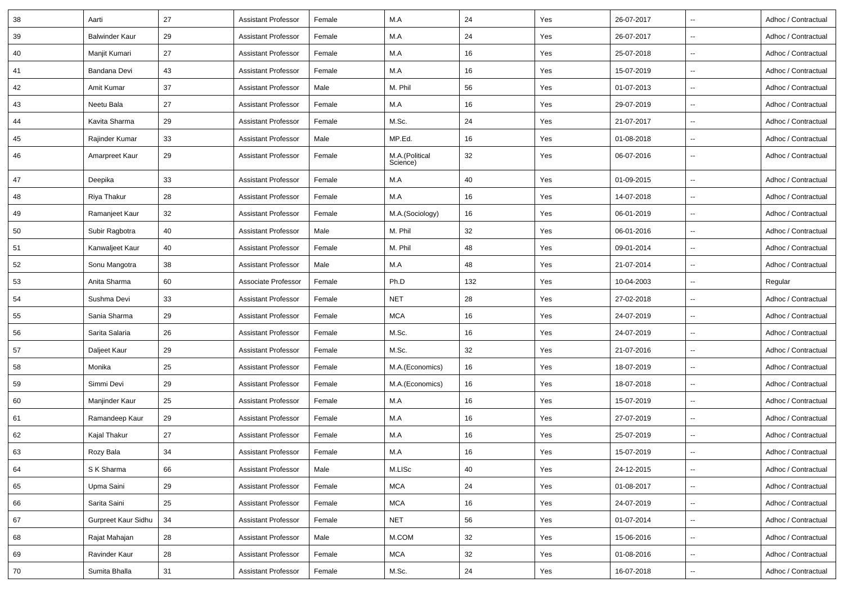| 38 | Aarti                 | 27 | <b>Assistant Professor</b> | Female | M.A                        | 24  | Yes | 26-07-2017 |                          | Adhoc / Contractual |
|----|-----------------------|----|----------------------------|--------|----------------------------|-----|-----|------------|--------------------------|---------------------|
| 39 | <b>Balwinder Kaur</b> | 29 | <b>Assistant Professor</b> | Female | M.A                        | 24  | Yes | 26-07-2017 | $\overline{\phantom{a}}$ | Adhoc / Contractual |
| 40 | Manjit Kumari         | 27 | Assistant Professor        | Female | M.A                        | 16  | Yes | 25-07-2018 | $\overline{\phantom{a}}$ | Adhoc / Contractual |
| 41 | Bandana Devi          | 43 | <b>Assistant Professor</b> | Female | M.A                        | 16  | Yes | 15-07-2019 | $\overline{\phantom{a}}$ | Adhoc / Contractual |
| 42 | Amit Kumar            | 37 | <b>Assistant Professor</b> | Male   | M. Phil                    | 56  | Yes | 01-07-2013 | $\overline{\phantom{a}}$ | Adhoc / Contractual |
| 43 | Neetu Bala            | 27 | Assistant Professor        | Female | M.A                        | 16  | Yes | 29-07-2019 | $\overline{\phantom{a}}$ | Adhoc / Contractual |
| 44 | Kavita Sharma         | 29 | Assistant Professor        | Female | M.Sc.                      | 24  | Yes | 21-07-2017 | $\overline{\phantom{a}}$ | Adhoc / Contractual |
| 45 | Rajinder Kumar        | 33 | <b>Assistant Professor</b> | Male   | MP.Ed.                     | 16  | Yes | 01-08-2018 | $\overline{\phantom{a}}$ | Adhoc / Contractual |
| 46 | Amarpreet Kaur        | 29 | Assistant Professor        | Female | M.A.(Political<br>Science) | 32  | Yes | 06-07-2016 | $\overline{\phantom{a}}$ | Adhoc / Contractual |
| 47 | Deepika               | 33 | Assistant Professor        | Female | M.A                        | 40  | Yes | 01-09-2015 | $\overline{\phantom{a}}$ | Adhoc / Contractual |
| 48 | Riya Thakur           | 28 | <b>Assistant Professor</b> | Female | M.A                        | 16  | Yes | 14-07-2018 | $\overline{\phantom{a}}$ | Adhoc / Contractual |
| 49 | Ramanjeet Kaur        | 32 | <b>Assistant Professor</b> | Female | M.A.(Sociology)            | 16  | Yes | 06-01-2019 |                          | Adhoc / Contractual |
| 50 | Subir Ragbotra        | 40 | <b>Assistant Professor</b> | Male   | M. Phil                    | 32  | Yes | 06-01-2016 | $\overline{\phantom{a}}$ | Adhoc / Contractual |
| 51 | Kanwaljeet Kaur       | 40 | <b>Assistant Professor</b> | Female | M. Phil                    | 48  | Yes | 09-01-2014 | $\overline{\phantom{a}}$ | Adhoc / Contractual |
| 52 | Sonu Mangotra         | 38 | <b>Assistant Professor</b> | Male   | M.A                        | 48  | Yes | 21-07-2014 | $\overline{\phantom{a}}$ | Adhoc / Contractual |
| 53 | Anita Sharma          | 60 | Associate Professor        | Female | Ph.D                       | 132 | Yes | 10-04-2003 | ⊷.                       | Regular             |
| 54 | Sushma Devi           | 33 | <b>Assistant Professor</b> | Female | <b>NET</b>                 | 28  | Yes | 27-02-2018 | −−                       | Adhoc / Contractual |
| 55 | Sania Sharma          | 29 | <b>Assistant Professor</b> | Female | <b>MCA</b>                 | 16  | Yes | 24-07-2019 |                          | Adhoc / Contractual |
| 56 | Sarita Salaria        | 26 | Assistant Professor        | Female | M.Sc.                      | 16  | Yes | 24-07-2019 | $\overline{\phantom{a}}$ | Adhoc / Contractual |
| 57 | Daljeet Kaur          | 29 | Assistant Professor        | Female | M.Sc.                      | 32  | Yes | 21-07-2016 | $\overline{\phantom{a}}$ | Adhoc / Contractual |
| 58 | Monika                | 25 | Assistant Professor        | Female | M.A.(Economics)            | 16  | Yes | 18-07-2019 |                          | Adhoc / Contractual |
| 59 | Simmi Devi            | 29 | Assistant Professor        | Female | M.A.(Economics)            | 16  | Yes | 18-07-2018 | $\overline{\phantom{a}}$ | Adhoc / Contractual |
| 60 | Manjinder Kaur        | 25 | Assistant Professor        | Female | M.A                        | 16  | Yes | 15-07-2019 | $\overline{\phantom{a}}$ | Adhoc / Contractual |
| 61 | Ramandeep Kaur        | 29 | <b>Assistant Professor</b> | Female | M.A                        | 16  | Yes | 27-07-2019 |                          | Adhoc / Contractual |
| 62 | Kajal Thakur          | 27 | Assistant Professor        | Female | M.A                        | 16  | Yes | 25-07-2019 | $\overline{\phantom{a}}$ | Adhoc / Contractual |
| 63 | Rozy Bala             | 34 | <b>Assistant Professor</b> | Female | M.A                        | 16  | Yes | 15-07-2019 | $\overline{\phantom{a}}$ | Adhoc / Contractual |
| 64 | S K Sharma            | 66 | <b>Assistant Professor</b> | Male   | M.LISc                     | 40  | Yes | 24-12-2015 | $\overline{\phantom{a}}$ | Adhoc / Contractual |
| 65 | Upma Saini            | 29 | <b>Assistant Professor</b> | Female | <b>MCA</b>                 | 24  | Yes | 01-08-2017 | ⊷.                       | Adhoc / Contractual |
| 66 | Sarita Saini          | 25 | <b>Assistant Professor</b> | Female | <b>MCA</b>                 | 16  | Yes | 24-07-2019 | ⊶.                       | Adhoc / Contractual |
| 67 | Gurpreet Kaur Sidhu   | 34 | <b>Assistant Professor</b> | Female | <b>NET</b>                 | 56  | Yes | 01-07-2014 | $\overline{\phantom{a}}$ | Adhoc / Contractual |
| 68 | Rajat Mahajan         | 28 | <b>Assistant Professor</b> | Male   | M.COM                      | 32  | Yes | 15-06-2016 | ⊶.                       | Adhoc / Contractual |
| 69 | Ravinder Kaur         | 28 | <b>Assistant Professor</b> | Female | <b>MCA</b>                 | 32  | Yes | 01-08-2016 | $\overline{\phantom{a}}$ | Adhoc / Contractual |
| 70 | Sumita Bhalla         | 31 | <b>Assistant Professor</b> | Female | M.Sc.                      | 24  | Yes | 16-07-2018 | $\overline{\phantom{a}}$ | Adhoc / Contractual |